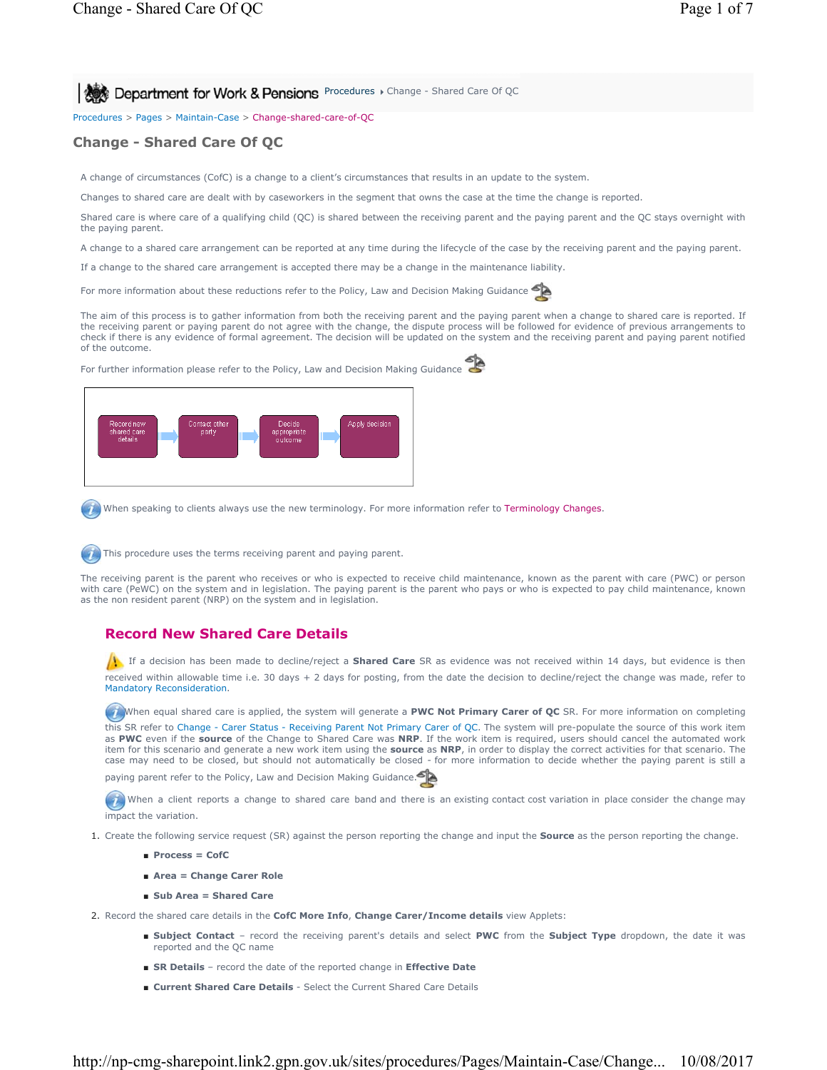**Procedures > Change - Shared Care Of QC** 

Procedures > Pages > Maintain-Case > Change-shared-care-of-QC

# **Change - Shared Care Of QC**

A change of circumstances (CofC) is a change to a client's circumstances that results in an update to the system.

Changes to shared care are dealt with by caseworkers in the segment that owns the case at the time the change is reported.

Shared care is where care of a qualifying child (QC) is shared between the receiving parent and the paying parent and the QC stays overnight with the paying parent.

A change to a shared care arrangement can be reported at any time during the lifecycle of the case by the receiving parent and the paying parent.

If a change to the shared care arrangement is accepted there may be a change in the maintenance liability.

For more information about these reductions refer to the Policy, Law and Decision Making Guidance

The aim of this process is to gather information from both the receiving parent and the paying parent when a change to shared care is reported. If the receiving parent or paying parent do not agree with the change, the dispute process will be followed for evidence of previous arrangements to check if there is any evidence of formal agreement. The decision will be updated on the system and the receiving parent and paying parent notified of the outcome.

For further information please refer to the Policy, Law and Decision Making Guidance



When speaking to clients always use the new terminology. For more information refer to Terminology Changes.



This procedure uses the terms receiving parent and paying parent.

The receiving parent is the parent who receives or who is expected to receive child maintenance, known as the parent with care (PWC) or person with care (PeWC) on the system and in legislation. The paying parent is the parent who pays or who is expected to pay child maintenance, known as the non resident parent (NRP) on the system and in legislation.

## **Record New Shared Care Details**

**If** If a decision has been made to decline/reject a **Shared Care** SR as evidence was not received within 14 days, but evidence is then received within allowable time i.e. 30 days + 2 days for posting, from the date the decision to decline/reject the change was made, refer to Mandatory Reconsideration.

When equal shared care is applied, the system will generate a PWC Not Primary Carer of QC SR. For more information on completing this SR refer to Change - Carer Status - Receiving Parent Not Primary Carer of QC. The system will pre-populate the source of this work item as **PWC** even if the **source** of the Change to Shared Care was **NRP**. If the work item is required, users should cancel the automated work item for this scenario and generate a new work item using the **source** as **NRP**, in order to display the correct activities for that scenario. The case may need to be closed, but should not automatically be closed - for more information to decide whether the paying parent is still a paying parent refer to the Policy, Law and Decision Making Guidance.

When a client reports a change to shared care band and there is an existing contact cost variation in place consider the change may impact the variation.

- 1. Create the following service request (SR) against the person reporting the change and input the **Source** as the person reporting the change.
	- **Process = CofC**
	- **Area = Change Carer Role**
	- **Sub Area = Shared Care**

2. Record the shared care details in the **CofC More Info**, **Change Carer/Income details** view Applets:

- Subject Contact record the receiving parent's details and select PWC from the Subject Type dropdown, the date it was reported and the QC name
- **SR Details** record the date of the reported change in **Effective Date**
- **Current Shared Care Details** Select the Current Shared Care Details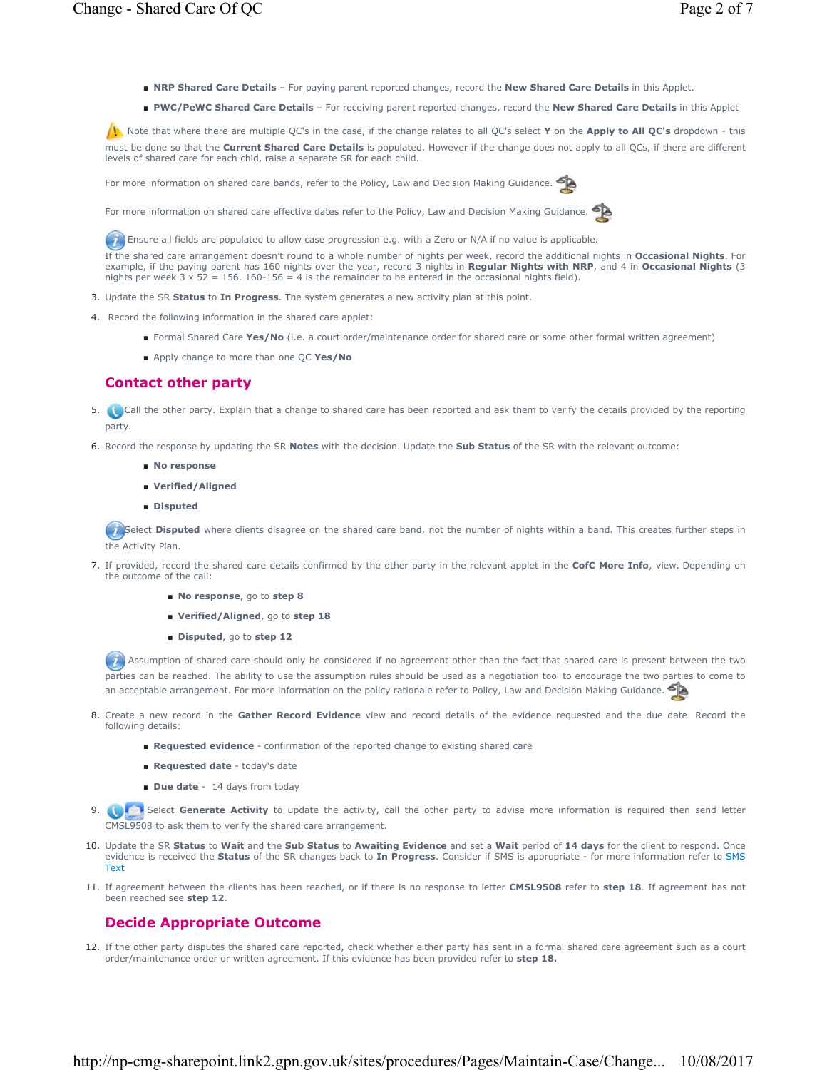- **NRP Shared Care Details** For paying parent reported changes, record the **New Shared Care Details** in this Applet.
- **PWC/PeWC Shared Care Details** For receiving parent reported changes, record the **New Shared Care Details** in this Applet

 Note that where there are multiple QC's in the case, if the change relates to all QC's select **Y** on the **Apply to All QC's** dropdown - this must be done so that the **Current Shared Care Details** is populated. However if the change does not apply to all QCs, if there are different levels of shared care for each chid, raise a separate SR for each child.

For more information on shared care bands, refer to the Policy, Law and Decision Making Guidance.

For more information on shared care effective dates refer to the Policy, Law and Decision Making Guidance.

Ensure all fields are populated to allow case progression e.g. with a Zero or N/A if no value is applicable.

If the shared care arrangement doesn't round to a whole number of nights per week, record the additional nights in **Occasional Nights**. For example, if the paying parent has 160 nights over the year, record 3 nights in **Regular Nights with NRP**, and 4 in **Occasional Nights** (3 nights per week  $3 \times 52 = 156$ . 160-156 = 4 is the remainder to be entered in the occasional nights field).

- 3. Update the SR **Status** to **In Progress**. The system generates a new activity plan at this point.
- 4. Record the following information in the shared care applet:
	- Formal Shared Care Yes/No (i.e. a court order/maintenance order for shared care or some other formal written agreement)
	- Apply change to more than one OC Yes/No

# **Contact other party**

- 5. Call the other party. Explain that a change to shared care has been reported and ask them to verify the details provided by the reporting party.
- 6. Record the response by updating the SR **Notes** with the decision. Update the **Sub Status** of the SR with the relevant outcome:
	- **No response**
	- **Verified/Aligned**
	- **Disputed**

Select Disputed where clients disagree on the shared care band, not the number of nights within a band. This creates further steps in the Activity Plan.

- If provided, record the shared care details confirmed by the other party in the relevant applet in the **CofC More Info**, view. Depending on 7. the outcome of the call:
	- **No response**, go to **step 8**
	- **Verified/Aligned**, go to **step 18**
	- **Disputed**, go to **step 12**

Assumption of shared care should only be considered if no agreement other than the fact that shared care is present between the two parties can be reached. The ability to use the assumption rules should be used as a negotiation tool to encourage the two parties to come to an acceptable arrangement. For more information on the policy rationale refer to Policy, Law and Decision Making Guidance.

- 8. Create a new record in the Gather Record Evidence view and record details of the evidence requested and the due date. Record the following details:
	- **Requested evidence** confirmation of the reported change to existing shared care
	- **Requested date** today's date
	- **Due date** 14 days from today
- **9. Collabol Select Generate Activity** to update the activity, call the other party to advise more information is required then send letter CMSL9508 to ask them to verify the shared care arrangement.
- 10. Update the SR Status to Wait and the Sub Status to Awaiting Evidence and set a Wait period of 14 days for the client to respond. Once evidence is received the **Status** of the SR changes back to **In Progress**. Consider if SMS is appropriate - for more information refer to SMS Text
- 11. If agreement between the clients has been reached, or if there is no response to letter CMSL9508 refer to step 18. If agreement has not been reached see **step 12**.

# **Decide Appropriate Outcome**

12. If the other party disputes the shared care reported, check whether either party has sent in a formal shared care agreement such as a court order/maintenance order or written agreement. If this evidence has been provided refer to **step 18.**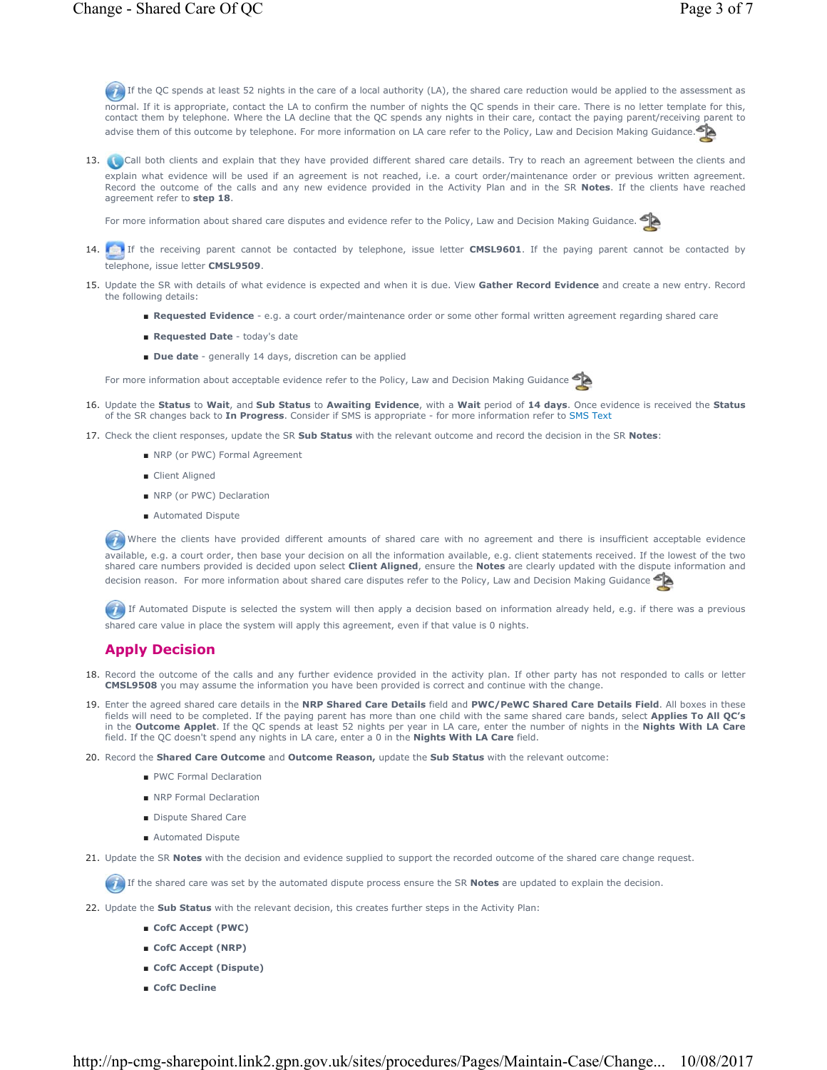If the QC spends at least 52 nights in the care of a local authority (LA), the shared care reduction would be applied to the assessment as normal. If it is appropriate, contact the LA to confirm the number of nights the QC spends in their care. There is no letter template for this, contact them by telephone. Where the LA decline that the QC spends any nights in their care, contact the paying parent/receiving parent to advise them of this outcome by telephone. For more information on LA care refer to the Policy, Law and Decision Making Guidance.

13. Call both clients and explain that they have provided different shared care details. Try to reach an agreement between the clients and explain what evidence will be used if an agreement is not reached, i.e. a court order/maintenance order or previous written agreement. Record the outcome of the calls and any new evidence provided in the Activity Plan and in the SR **Notes**. If the clients have reached agreement refer to **step 18**.

For more information about shared care disputes and evidence refer to the Policy, Law and Decision Making Guidance.

- 14. If the receiving parent cannot be contacted by telephone, issue letter **CMSL9601**. If the paying parent cannot be contacted by telephone, issue letter **CMSL9509**.
- 15. Update the SR with details of what evidence is expected and when it is due. View Gather Record Evidence and create a new entry. Record the following details:
	- **Requested Evidence**  e.g. a court order/maintenance order or some other formal written agreement regarding shared care
	- **Requested Date**  today's date
	- **Due date**  generally 14 days, discretion can be applied

For more information about acceptable evidence refer to the Policy, Law and Decision Making Guidance



- 16. Update the Status to Wait, and Sub Status to Awaiting Evidence, with a Wait period of 14 days. Once evidence is received the Status of the SR changes back to **In Progress**. Consider if SMS is appropriate - for more information refer to SMS Text
- 17. Check the client responses, update the SR Sub Status with the relevant outcome and record the decision in the SR Notes:
	- NRP (or PWC) Formal Agreement
	- Client Aligned
	- NRP (or PWC) Declaration
	- Automated Dispute

(1) Where the clients have provided different amounts of shared care with no agreement and there is insufficient acceptable evidence available, e.g. a court order, then base your decision on all the information available, e.g. client statements received. If the lowest of the two shared care numbers provided is decided upon select **Client Aligned**, ensure the **Notes** are clearly updated with the dispute information and decision reason. For more information about shared care disputes refer to the Policy, Law and Decision Making Guidance

If Automated Dispute is selected the system will then apply a decision based on information already held, e.g. if there was a previous shared care value in place the system will apply this agreement, even if that value is 0 nights.

## **Apply Decision**

- 18. Record the outcome of the calls and any further evidence provided in the activity plan. If other party has not responded to calls or letter **CMSL9508** you may assume the information you have been provided is correct and continue with the change.
- 19. Enter the agreed shared care details in the NRP Shared Care Details field and PWC/PeWC Shared Care Details Field. All boxes in these fields will need to be completed. If the paying parent has more than one child with the same shared care bands, select **Applies To All QC's**  in the **Outcome Applet**. If the QC spends at least 52 nights per year in LA care, enter the number of nights in the **Nights With LA Care**  field. If the QC doesn't spend any nights in LA care, enter a 0 in the **Nights With LA Care** field.
- 20. Record the **Shared Care Outcome** and **Outcome Reason,** update the **Sub Status** with the relevant outcome:
	- PWC Formal Declaration
	- NRP Formal Declaration
	- Dispute Shared Care
	- Automated Dispute
- 21. Update the SR **Notes** with the decision and evidence supplied to support the recorded outcome of the shared care change request.

If the shared care was set by the automated dispute process ensure the SR **Notes** are updated to explain the decision.

- 22. Update the **Sub Status** with the relevant decision, this creates further steps in the Activity Plan:
	- **CofC Accept (PWC)**
	- **CofC Accept (NRP)**
	- **CofC Accept (Dispute)**
	- **CofC Decline**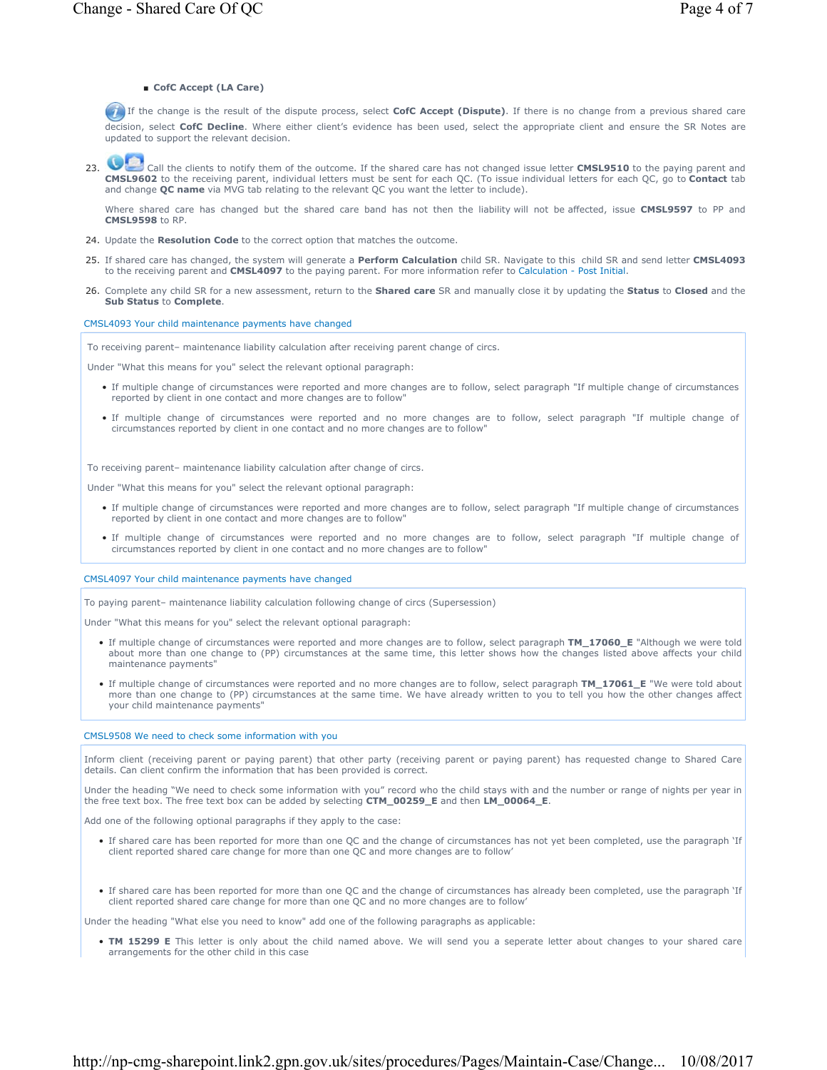### ■ **CofC Accept (LA Care)**

 If the change is the result of the dispute process, select **CofC Accept (Dispute)**. If there is no change from a previous shared care decision, select **CofC Decline**. Where either client's evidence has been used, select the appropriate client and ensure the SR Notes are updated to support the relevant decision.

23. Call the clients to notify them of the outcome. If the shared care has not changed issue letter **CMSL9510** to the paying parent and **CMSL9602** to the receiving parent, individual letters must be sent for each QC. (To issue individual letters for each QC, go to **Contact** tab and change **QC name** via MVG tab relating to the relevant QC you want the letter to include).

Where shared care has changed but the shared care band has not then the liability will not be affected, issue **CMSL9597** to PP and **CMSL9598** to RP.

- 24. Update the **Resolution Code** to the correct option that matches the outcome.
- If shared care has changed, the system will generate a **Perform Calculation** child SR. Navigate to this child SR and send letter **CMSL4093** 25. to the receiving parent and **CMSL4097** to the paying parent. For more information refer to Calculation - Post Initial.
- Complete any child SR for a new assessment, return to the **Shared care** SR and manually close it by updating the **Status** to **Closed** and the 26. **Sub Status** to **Complete**.

CMSL4093 Your child maintenance payments have changed

To receiving parent– maintenance liability calculation after receiving parent change of circs.

Under "What this means for you" select the relevant optional paragraph:

- If multiple change of circumstances were reported and more changes are to follow, select paragraph "If multiple change of circumstances reported by client in one contact and more changes are to follow"
- If multiple change of circumstances were reported and no more changes are to follow, select paragraph "If multiple change of circumstances reported by client in one contact and no more changes are to follow"

To receiving parent– maintenance liability calculation after change of circs.

Under "What this means for you" select the relevant optional paragraph:

- If multiple change of circumstances were reported and more changes are to follow, select paragraph "If multiple change of circumstances reported by client in one contact and more changes are to follow"
- If multiple change of circumstances were reported and no more changes are to follow, select paragraph "If multiple change of circumstances reported by client in one contact and no more changes are to follow"

CMSL4097 Your child maintenance payments have changed

To paying parent– maintenance liability calculation following change of circs (Supersession)

Under "What this means for you" select the relevant optional paragraph:

- If multiple change of circumstances were reported and more changes are to follow, select paragraph **TM\_17060\_E** "Although we were told about more than one change to (PP) circumstances at the same time, this letter shows how the changes listed above affects your child maintenance payments"
- If multiple change of circumstances were reported and no more changes are to follow, select paragraph **TM\_17061\_E** "We were told about more than one change to (PP) circumstances at the same time. We have already written to you to tell you how the other changes affect your child maintenance payments"

## CMSL9508 We need to check some information with you

Inform client (receiving parent or paying parent) that other party (receiving parent or paying parent) has requested change to Shared Care details. Can client confirm the information that has been provided is correct.

Under the heading "We need to check some information with you" record who the child stays with and the number or range of nights per year in the free text box. The free text box can be added by selecting **CTM\_00259\_E** and then **LM\_00064\_E**.

Add one of the following optional paragraphs if they apply to the case:

- If shared care has been reported for more than one QC and the change of circumstances has not yet been completed, use the paragraph 'If client reported shared care change for more than one QC and more changes are to follow'
- If shared care has been reported for more than one QC and the change of circumstances has already been completed, use the paragraph 'If client reported shared care change for more than one QC and no more changes are to follow'

Under the heading "What else you need to know" add one of the following paragraphs as applicable:

• **TM 15299 E** This letter is only about the child named above. We will send you a seperate letter about changes to your shared care arrangements for the other child in this case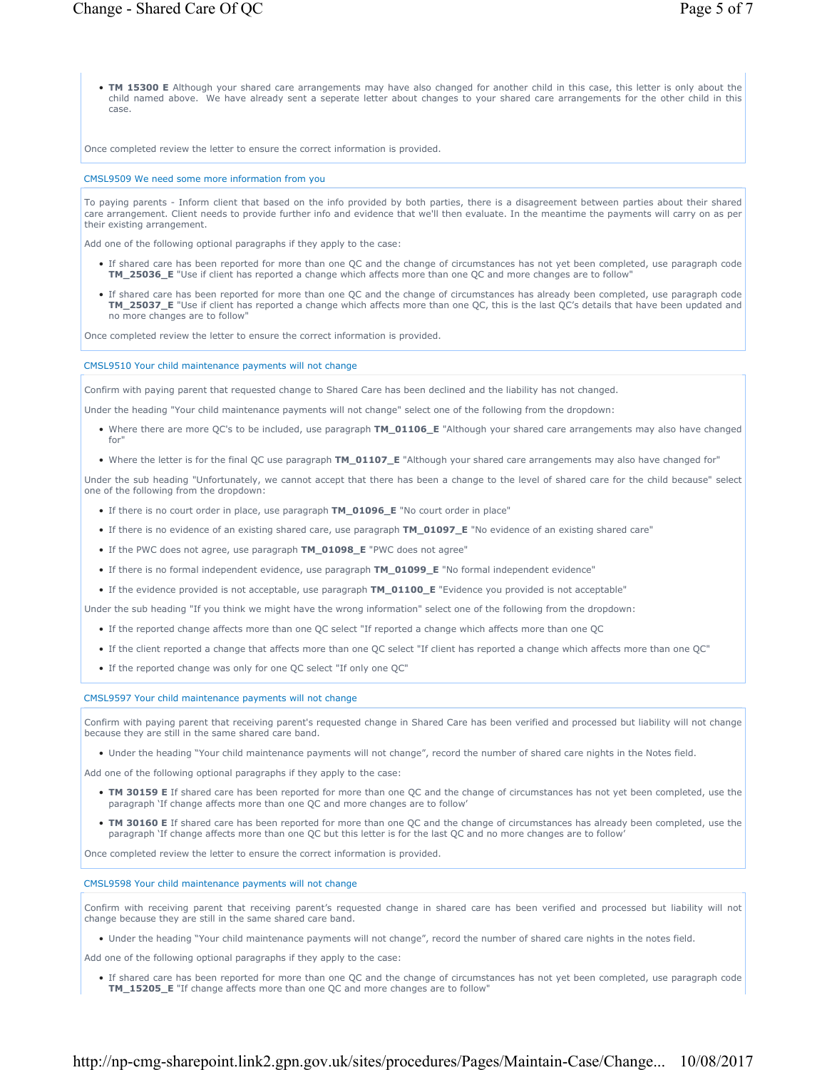• **TM 15300 E** Although your shared care arrangements may have also changed for another child in this case, this letter is only about the child named above. We have already sent a seperate letter about changes to your shared care arrangements for the other child in this case.

Once completed review the letter to ensure the correct information is provided.

#### CMSL9509 We need some more information from you

To paying parents - Inform client that based on the info provided by both parties, there is a disagreement between parties about their shared care arrangement. Client needs to provide further info and evidence that we'll then evaluate. In the meantime the payments will carry on as per their existing arrangement.

Add one of the following optional paragraphs if they apply to the case:

- If shared care has been reported for more than one QC and the change of circumstances has not yet been completed, use paragraph code **TM\_25036\_E** "Use if client has reported a change which affects more than one QC and more changes are to follow"
- If shared care has been reported for more than one QC and the change of circumstances has already been completed, use paragraph code **TM\_25037\_E** "Use if client has reported a change which affects more than one QC, this is the last QC's details that have been updated and no more changes are to follow"

Once completed review the letter to ensure the correct information is provided.

#### CMSL9510 Your child maintenance payments will not change

Confirm with paying parent that requested change to Shared Care has been declined and the liability has not changed.

Under the heading "Your child maintenance payments will not change" select one of the following from the dropdown:

- Where there are more QC's to be included, use paragraph **TM\_01106\_E** "Although your shared care arrangements may also have changed for"
- Where the letter is for the final QC use paragraph **TM\_01107\_E** "Although your shared care arrangements may also have changed for"

Under the sub heading "Unfortunately, we cannot accept that there has been a change to the level of shared care for the child because" select one of the following from the dropdown:

- If there is no court order in place, use paragraph **TM\_01096\_E** "No court order in place"
- If there is no evidence of an existing shared care, use paragraph **TM\_01097\_E** "No evidence of an existing shared care"
- If the PWC does not agree, use paragraph **TM\_01098\_E** "PWC does not agree"
- If there is no formal independent evidence, use paragraph **TM\_01099\_E** "No formal independent evidence"
- If the evidence provided is not acceptable, use paragraph **TM\_01100\_E** "Evidence you provided is not acceptable"

Under the sub heading "If you think we might have the wrong information" select one of the following from the dropdown:

- If the reported change affects more than one QC select "If reported a change which affects more than one QC
- If the client reported a change that affects more than one QC select "If client has reported a change which affects more than one QC"
- If the reported change was only for one QC select "If only one QC"

CMSL9597 Your child maintenance payments will not change

Confirm with paying parent that receiving parent's requested change in Shared Care has been verified and processed but liability will not change because they are still in the same shared care band.

• Under the heading "Your child maintenance payments will not change", record the number of shared care nights in the Notes field.

Add one of the following optional paragraphs if they apply to the case:

- TM 30159 E If shared care has been reported for more than one QC and the change of circumstances has not yet been completed, use the paragraph 'If change affects more than one QC and more changes are to follow'
- TM 30160 E If shared care has been reported for more than one QC and the change of circumstances has already been completed, use the paragraph 'If change affects more than one QC but this letter is for the last QC and no more changes are to follow'

Once completed review the letter to ensure the correct information is provided.

### CMSL9598 Your child maintenance payments will not change

Confirm with receiving parent that receiving parent's requested change in shared care has been verified and processed but liability will not change because they are still in the same shared care band.

• Under the heading "Your child maintenance payments will not change", record the number of shared care nights in the notes field.

Add one of the following optional paragraphs if they apply to the case:

• If shared care has been reported for more than one QC and the change of circumstances has not yet been completed, use paragraph code **TM\_15205\_E** "If change affects more than one QC and more changes are to follow"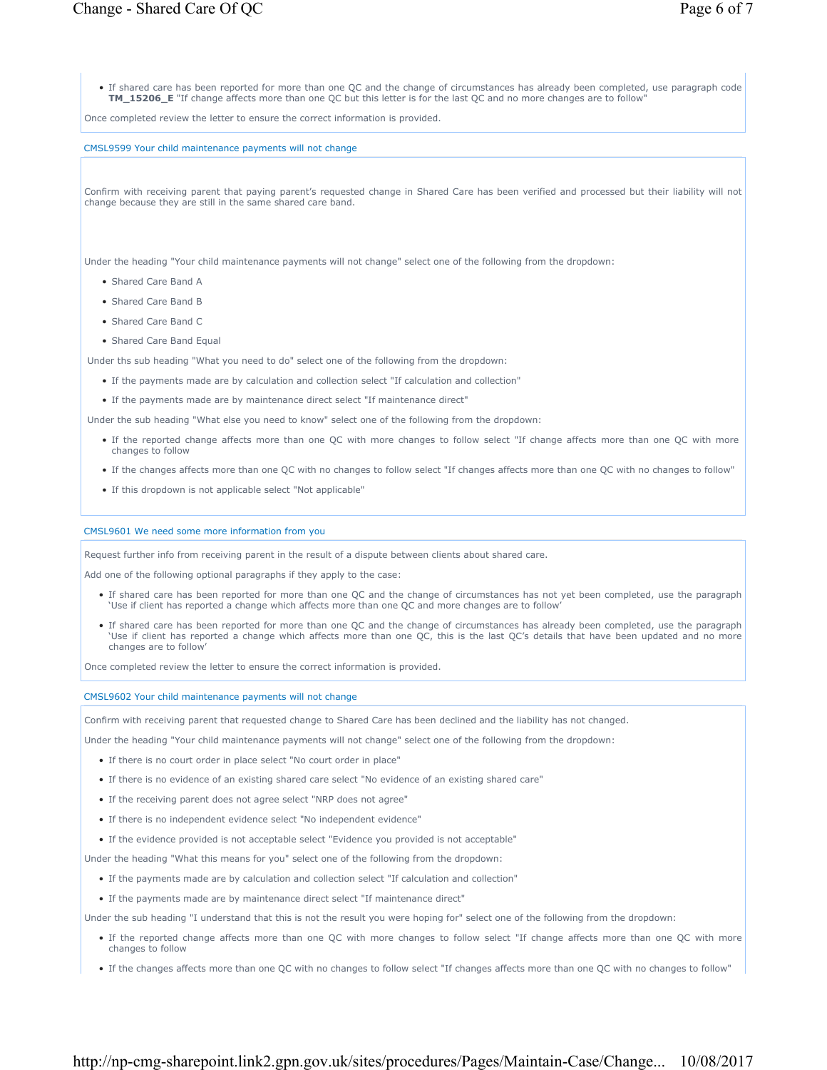• If shared care has been reported for more than one QC and the change of circumstances has already been completed, use paragraph code **TM\_15206\_E** "If change affects more than one QC but this letter is for the last QC and no more changes are to follow"

Once completed review the letter to ensure the correct information is provided.

CMSL9599 Your child maintenance payments will not change

Confirm with receiving parent that paying parent's requested change in Shared Care has been verified and processed but their liability will not change because they are still in the same shared care band.

Under the heading "Your child maintenance payments will not change" select one of the following from the dropdown:

- Shared Care Band A
- Shared Care Band B
- Shared Care Band C
- Shared Care Band Equal

Under ths sub heading "What you need to do" select one of the following from the dropdown:

- If the payments made are by calculation and collection select "If calculation and collection"
- If the payments made are by maintenance direct select "If maintenance direct"

Under the sub heading "What else you need to know" select one of the following from the dropdown:

- If the reported change affects more than one QC with more changes to follow select "If change affects more than one QC with more changes to follow
- If the changes affects more than one QC with no changes to follow select "If changes affects more than one QC with no changes to follow"
- If this dropdown is not applicable select "Not applicable"

#### CMSL9601 We need some more information from you

Request further info from receiving parent in the result of a dispute between clients about shared care.

Add one of the following optional paragraphs if they apply to the case:

- If shared care has been reported for more than one QC and the change of circumstances has not yet been completed, use the paragraph 'Use if client has reported a change which affects more than one QC and more changes are to follow'
- If shared care has been reported for more than one QC and the change of circumstances has already been completed, use the paragraph 'Use if client has reported a change which affects more than one QC, this is the last QC's details that have been updated and no more changes are to follow'

Once completed review the letter to ensure the correct information is provided.

CMSL9602 Your child maintenance payments will not change

Confirm with receiving parent that requested change to Shared Care has been declined and the liability has not changed.

Under the heading "Your child maintenance payments will not change" select one of the following from the dropdown:

- If there is no court order in place select "No court order in place"
- If there is no evidence of an existing shared care select "No evidence of an existing shared care"
- If the receiving parent does not agree select "NRP does not agree"
- If there is no independent evidence select "No independent evidence"
- If the evidence provided is not acceptable select "Evidence you provided is not acceptable"

Under the heading "What this means for you" select one of the following from the dropdown:

- If the payments made are by calculation and collection select "If calculation and collection"
- If the payments made are by maintenance direct select "If maintenance direct"

Under the sub heading "I understand that this is not the result you were hoping for" select one of the following from the dropdown:

- If the reported change affects more than one QC with more changes to follow select "If change affects more than one QC with more changes to follow
- If the changes affects more than one QC with no changes to follow select "If changes affects more than one QC with no changes to follow"